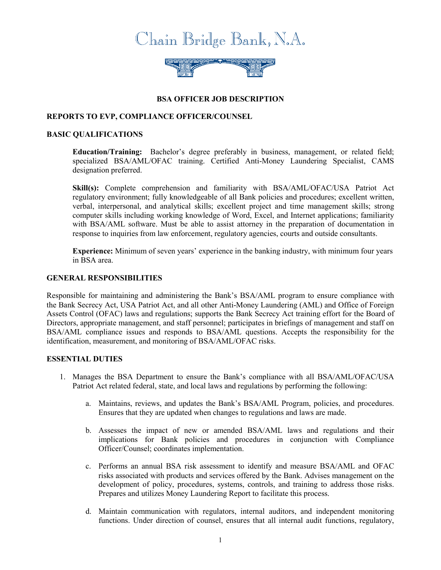

# **BSA OFFICER JOB DESCRIPTION**

## **REPORTS TO EVP, COMPLIANCE OFFICER/COUNSEL**

## **BASIC QUALIFICATIONS**

**Education/Training:** Bachelor's degree preferably in business, management, or related field; specialized BSA/AML/OFAC training. Certified Anti-Money Laundering Specialist, CAMS designation preferred.

**Skill(s):** Complete comprehension and familiarity with BSA/AML/OFAC/USA Patriot Act regulatory environment; fully knowledgeable of all Bank policies and procedures; excellent written, verbal, interpersonal, and analytical skills; excellent project and time management skills; strong computer skills including working knowledge of Word, Excel, and Internet applications; familiarity with BSA/AML software. Must be able to assist attorney in the preparation of documentation in response to inquiries from law enforcement, regulatory agencies, courts and outside consultants.

**Experience:** Minimum of seven years' experience in the banking industry, with minimum four years in BSA area.

#### **GENERAL RESPONSIBILITIES**

Responsible for maintaining and administering the Bank's BSA/AML program to ensure compliance with the Bank Secrecy Act, USA Patriot Act, and all other Anti-Money Laundering (AML) and Office of Foreign Assets Control (OFAC) laws and regulations; supports the Bank Secrecy Act training effort for the Board of Directors, appropriate management, and staff personnel; participates in briefings of management and staff on BSA/AML compliance issues and responds to BSA/AML questions. Accepts the responsibility for the identification, measurement, and monitoring of BSA/AML/OFAC risks.

### **ESSENTIAL DUTIES**

- 1. Manages the BSA Department to ensure the Bank's compliance with all BSA/AML/OFAC/USA Patriot Act related federal, state, and local laws and regulations by performing the following:
	- a. Maintains, reviews, and updates the Bank's BSA/AML Program, policies, and procedures. Ensures that they are updated when changes to regulations and laws are made.
	- b. Assesses the impact of new or amended BSA/AML laws and regulations and their implications for Bank policies and procedures in conjunction with Compliance Officer/Counsel; coordinates implementation.
	- c. Performs an annual BSA risk assessment to identify and measure BSA/AML and OFAC risks associated with products and services offered by the Bank. Advises management on the development of policy, procedures, systems, controls, and training to address those risks. Prepares and utilizes Money Laundering Report to facilitate this process.
	- d. Maintain communication with regulators, internal auditors, and independent monitoring functions. Under direction of counsel, ensures that all internal audit functions, regulatory,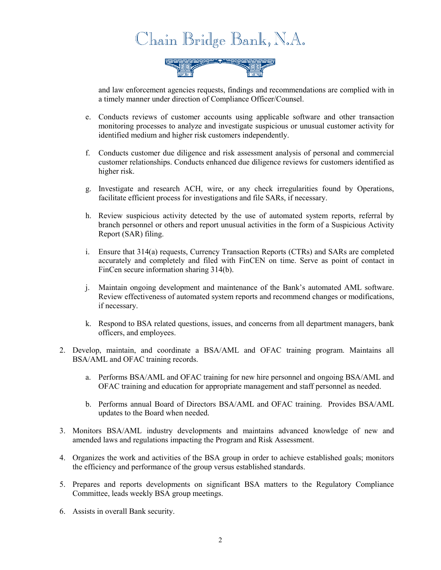



and law enforcement agencies requests, findings and recommendations are complied with in a timely manner under direction of Compliance Officer/Counsel.

- e. Conducts reviews of customer accounts using applicable software and other transaction monitoring processes to analyze and investigate suspicious or unusual customer activity for identified medium and higher risk customers independently.
- f. Conducts customer due diligence and risk assessment analysis of personal and commercial customer relationships. Conducts enhanced due diligence reviews for customers identified as higher risk.
- g. Investigate and research ACH, wire, or any check irregularities found by Operations, facilitate efficient process for investigations and file SARs, if necessary.
- h. Review suspicious activity detected by the use of automated system reports, referral by branch personnel or others and report unusual activities in the form of a Suspicious Activity Report (SAR) filing.
- i. Ensure that 314(a) requests, Currency Transaction Reports (CTRs) and SARs are completed accurately and completely and filed with FinCEN on time. Serve as point of contact in FinCen secure information sharing 314(b).
- j. Maintain ongoing development and maintenance of the Bank's automated AML software. Review effectiveness of automated system reports and recommend changes or modifications, if necessary.
- k. Respond to BSA related questions, issues, and concerns from all department managers, bank officers, and employees.
- 2. Develop, maintain, and coordinate a BSA/AML and OFAC training program. Maintains all BSA/AML and OFAC training records.
	- a. Performs BSA/AML and OFAC training for new hire personnel and ongoing BSA/AML and OFAC training and education for appropriate management and staff personnel as needed.
	- b. Performs annual Board of Directors BSA/AML and OFAC training. Provides BSA/AML updates to the Board when needed.
- 3. Monitors BSA/AML industry developments and maintains advanced knowledge of new and amended laws and regulations impacting the Program and Risk Assessment.
- 4. Organizes the work and activities of the BSA group in order to achieve established goals; monitors the efficiency and performance of the group versus established standards.
- 5. Prepares and reports developments on significant BSA matters to the Regulatory Compliance Committee, leads weekly BSA group meetings.
- 6. Assists in overall Bank security.